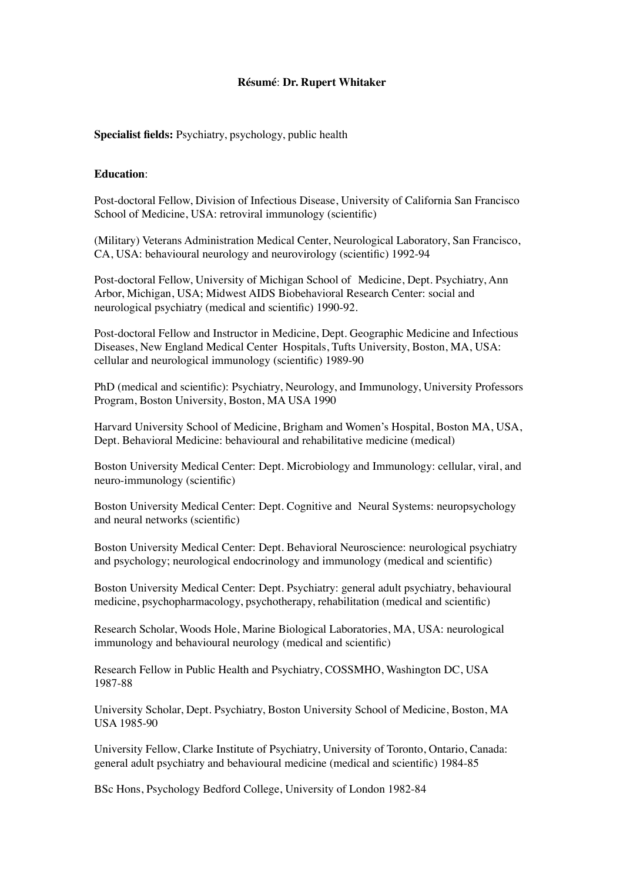# **Résumé**: **Dr. Rupert Whitaker**

**Specialist fields:** Psychiatry, psychology, public health

## **Education**:

Post-doctoral Fellow, Division of Infectious Disease, University of California San Francisco School of Medicine, USA: retroviral immunology (scientific)

(Military) Veterans Administration Medical Center, Neurological Laboratory, San Francisco, CA, USA: behavioural neurology and neurovirology (scientific) 1992-94

Post-doctoral Fellow, University of Michigan School of Medicine, Dept. Psychiatry, Ann Arbor, Michigan, USA; Midwest AIDS Biobehavioral Research Center: social and neurological psychiatry (medical and scientific) 1990-92.

Post-doctoral Fellow and Instructor in Medicine, Dept. Geographic Medicine and Infectious Diseases, New England Medical Center Hospitals, Tufts University, Boston, MA, USA: cellular and neurological immunology (scientific) 1989-90

PhD (medical and scientific): Psychiatry, Neurology, and Immunology, University Professors Program, Boston University, Boston, MA USA 1990

Harvard University School of Medicine, Brigham and Women's Hospital, Boston MA, USA, Dept. Behavioral Medicine: behavioural and rehabilitative medicine (medical)

Boston University Medical Center: Dept. Microbiology and Immunology: cellular, viral, and neuro-immunology (scientific)

Boston University Medical Center: Dept. Cognitive and Neural Systems: neuropsychology and neural networks (scientific)

Boston University Medical Center: Dept. Behavioral Neuroscience: neurological psychiatry and psychology; neurological endocrinology and immunology (medical and scientific)

Boston University Medical Center: Dept. Psychiatry: general adult psychiatry, behavioural medicine, psychopharmacology, psychotherapy, rehabilitation (medical and scientific)

Research Scholar, Woods Hole, Marine Biological Laboratories, MA, USA: neurological immunology and behavioural neurology (medical and scientific)

Research Fellow in Public Health and Psychiatry, COSSMHO, Washington DC, USA 1987-88

University Scholar, Dept. Psychiatry, Boston University School of Medicine, Boston, MA USA 1985-90

University Fellow, Clarke Institute of Psychiatry, University of Toronto, Ontario, Canada: general adult psychiatry and behavioural medicine (medical and scientific) 1984-85

BSc Hons, Psychology Bedford College, University of London 1982-84